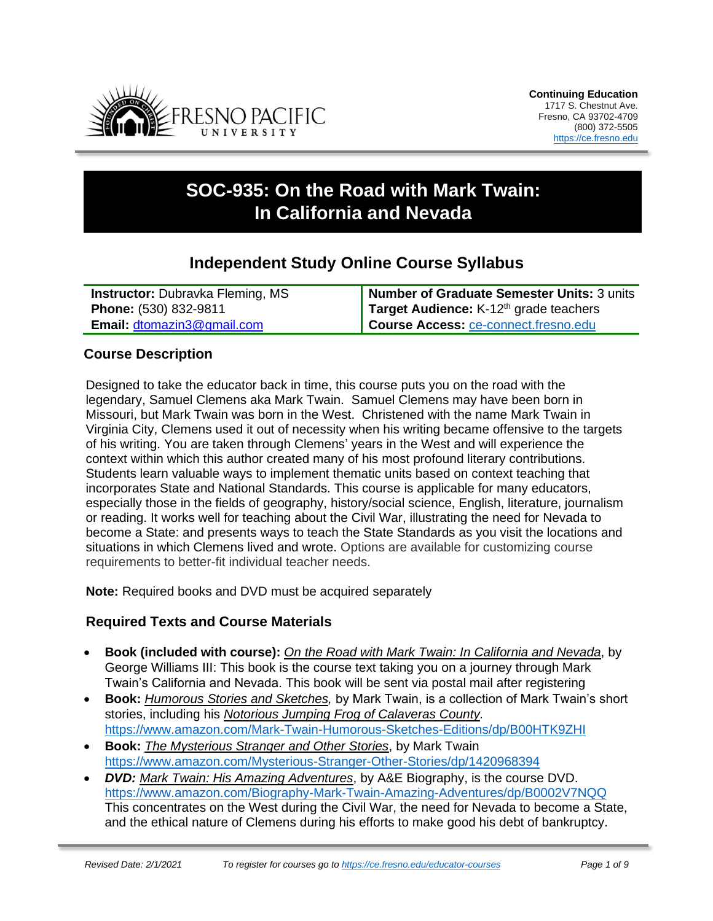

# **SOC-935: On the Road with Mark Twain: In California and Nevada**

## **Independent Study Online Course Syllabus**

| <b>Instructor:</b> Dubrayka Fleming, MS | <b>Number of Graduate Semester Units: 3 units</b>  |
|-----------------------------------------|----------------------------------------------------|
| Phone: (530) 832-9811                   | Target Audience: K-12 <sup>th</sup> grade teachers |
| <b>Email: dtomazin3@gmail.com</b>       | Course Access: ce-connect.fresno.edu               |

## **Course Description**

Designed to take the educator back in time, this course puts you on the road with the legendary, Samuel Clemens aka Mark Twain. Samuel Clemens may have been born in Missouri, but Mark Twain was born in the West. Christened with the name Mark Twain in Virginia City, Clemens used it out of necessity when his writing became offensive to the targets of his writing. You are taken through Clemens' years in the West and will experience the context within which this author created many of his most profound literary contributions. Students learn valuable ways to implement thematic units based on context teaching that incorporates State and National Standards. This course is applicable for many educators, especially those in the fields of geography, history/social science, English, literature, journalism or reading. It works well for teaching about the Civil War, illustrating the need for Nevada to become a State: and presents ways to teach the State Standards as you visit the locations and situations in which Clemens lived and wrote. Options are available for customizing course requirements to better-fit individual teacher needs.

**Note:** Required books and DVD must be acquired separately

## **Required Texts and Course Materials**

- **Book (included with course):** *On the Road with Mark Twain: In California and Nevada*, by George Williams III: This book is the course text taking you on a journey through Mark Twain's California and Nevada. This book will be sent via postal mail after registering
- **Book:** *Humorous Stories and Sketches,* by Mark Twain, is a collection of Mark Twain's short stories, including his *Notorious Jumping Frog of Calaveras County.* <https://www.amazon.com/Mark-Twain-Humorous-Sketches-Editions/dp/B00HTK9ZHI>
- **Book:** *The Mysterious Stranger and Other Stories*, by Mark Twain <https://www.amazon.com/Mysterious-Stranger-Other-Stories/dp/1420968394>
- *DVD: Mark Twain: His Amazing Adventures*, by A&E Biography, is the course DVD. <https://www.amazon.com/Biography-Mark-Twain-Amazing-Adventures/dp/B0002V7NQQ> This concentrates on the West during the Civil War, the need for Nevada to become a State, and the ethical nature of Clemens during his efforts to make good his debt of bankruptcy.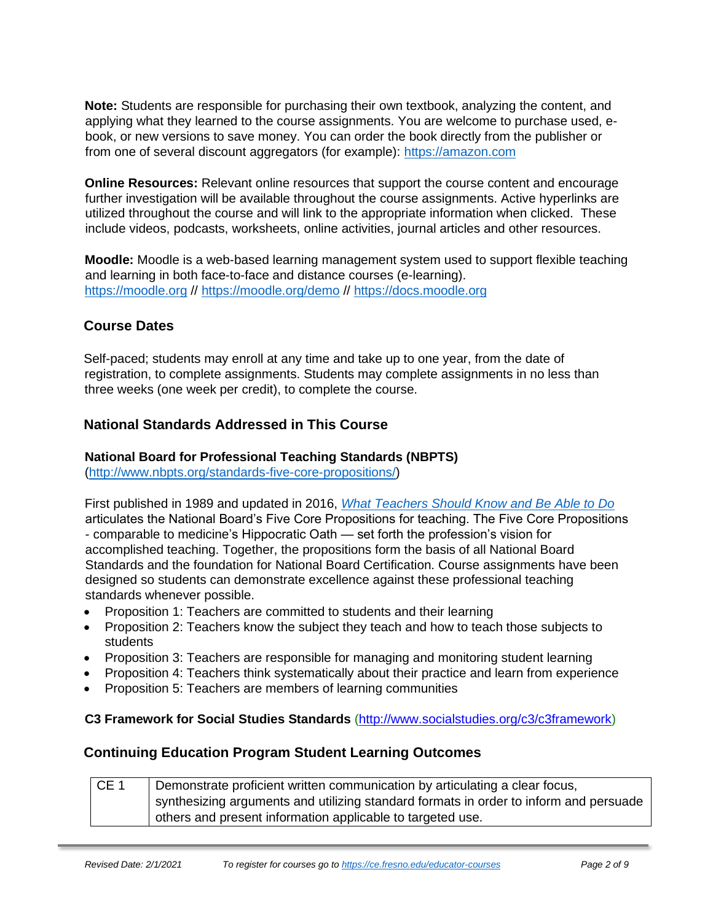**Note:** Students are responsible for purchasing their own textbook, analyzing the content, and applying what they learned to the course assignments. You are welcome to purchase used, ebook, or new versions to save money. You can order the book directly from the publisher or from one of several discount aggregators (for example): [https://amazon.com](https://amazon.com/)

**Online Resources:** Relevant online resources that support the course content and encourage further investigation will be available throughout the course assignments. Active hyperlinks are utilized throughout the course and will link to the appropriate information when clicked. These include videos, podcasts, worksheets, online activities, journal articles and other resources.

**Moodle:** Moodle is a web-based learning management system used to support flexible teaching and learning in both face-to-face and distance courses (e-learning). [https://moodle.org](https://moodle.org/) //<https://moodle.org/demo> // [https://docs.moodle.org](https://docs.moodle.org/)

## **Course Dates**

Self-paced; students may enroll at any time and take up to one year, from the date of registration, to complete assignments. Students may complete assignments in no less than three weeks (one week per credit), to complete the course.

## **National Standards Addressed in This Course**

### **National Board for Professional Teaching Standards (NBPTS)**

[\(http://www.nbpts.org/standards-five-core-propositions/\)](http://www.nbpts.org/standards-five-core-propositions/)

First published in 1989 and updated in 2016, *[What Teachers Should Know and Be Able to Do](http://www.accomplishedteacher.org/)* articulates the National Board's Five Core Propositions for teaching. The Five Core Propositions - comparable to medicine's Hippocratic Oath — set forth the profession's vision for accomplished teaching. Together, the propositions form the basis of all National Board Standards and the foundation for National Board Certification. Course assignments have been designed so students can demonstrate excellence against these professional teaching standards whenever possible.

- Proposition 1: Teachers are committed to students and their learning
- Proposition 2: Teachers know the subject they teach and how to teach those subjects to students
- Proposition 3: Teachers are responsible for managing and monitoring student learning
- Proposition 4: Teachers think systematically about their practice and learn from experience
- Proposition 5: Teachers are members of learning communities

#### **C3 Framework for Social Studies Standards** [\(http://www.socialstudies.org/c3/c3framework\)](http://www.socialstudies.org/c3/c3framework)

## **Continuing Education Program Student Learning Outcomes**

CE 1 Demonstrate proficient written communication by articulating a clear focus, synthesizing arguments and utilizing standard formats in order to inform and persuade others and present information applicable to targeted use.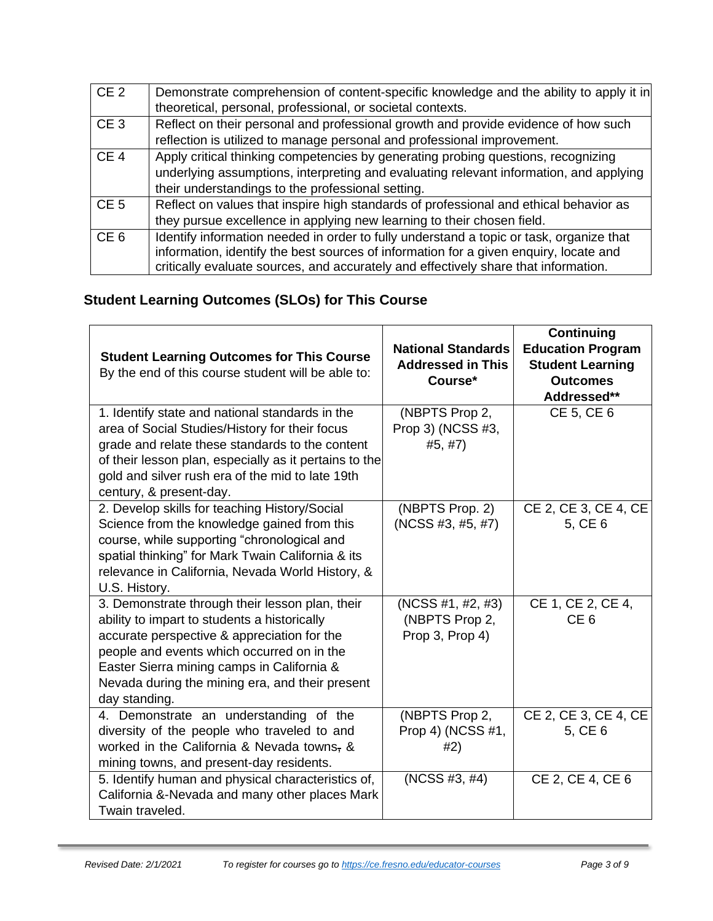| CE <sub>2</sub> | Demonstrate comprehension of content-specific knowledge and the ability to apply it in                                                                                                                                                                                  |
|-----------------|-------------------------------------------------------------------------------------------------------------------------------------------------------------------------------------------------------------------------------------------------------------------------|
|                 | theoretical, personal, professional, or societal contexts.                                                                                                                                                                                                              |
| CE <sub>3</sub> | Reflect on their personal and professional growth and provide evidence of how such                                                                                                                                                                                      |
|                 | reflection is utilized to manage personal and professional improvement.                                                                                                                                                                                                 |
| CE <sub>4</sub> | Apply critical thinking competencies by generating probing questions, recognizing<br>underlying assumptions, interpreting and evaluating relevant information, and applying<br>their understandings to the professional setting.                                        |
| CE <sub>5</sub> | Reflect on values that inspire high standards of professional and ethical behavior as                                                                                                                                                                                   |
|                 | they pursue excellence in applying new learning to their chosen field.                                                                                                                                                                                                  |
| CE <sub>6</sub> | Identify information needed in order to fully understand a topic or task, organize that<br>information, identify the best sources of information for a given enquiry, locate and<br>critically evaluate sources, and accurately and effectively share that information. |

## **Student Learning Outcomes (SLOs) for This Course**

| <b>Student Learning Outcomes for This Course</b><br>By the end of this course student will be able to:                                                                                                                                                                                                         | <b>National Standards</b><br><b>Addressed in This</b><br>Course* | Continuing<br><b>Education Program</b><br><b>Student Learning</b><br><b>Outcomes</b><br>Addressed** |
|----------------------------------------------------------------------------------------------------------------------------------------------------------------------------------------------------------------------------------------------------------------------------------------------------------------|------------------------------------------------------------------|-----------------------------------------------------------------------------------------------------|
| 1. Identify state and national standards in the<br>area of Social Studies/History for their focus<br>grade and relate these standards to the content<br>of their lesson plan, especially as it pertains to the<br>gold and silver rush era of the mid to late 19th<br>century, & present-day.                  | (NBPTS Prop 2,<br>Prop 3) (NCSS #3,<br>#5, #7)                   | CE 5, CE 6                                                                                          |
| 2. Develop skills for teaching History/Social<br>Science from the knowledge gained from this<br>course, while supporting "chronological and<br>spatial thinking" for Mark Twain California & its<br>relevance in California, Nevada World History, &<br>U.S. History.                                          | (NBPTS Prop. 2)<br>(NCSS #3, #5, #7)                             | CE 2, CE 3, CE 4, CE<br>5, CE 6                                                                     |
| 3. Demonstrate through their lesson plan, their<br>ability to impart to students a historically<br>accurate perspective & appreciation for the<br>people and events which occurred on in the<br>Easter Sierra mining camps in California &<br>Nevada during the mining era, and their present<br>day standing. | (NCSS #1, #2, #3)<br>(NBPTS Prop 2,<br>Prop 3, Prop 4)           | CE 1, CE 2, CE 4,<br>CE <sub>6</sub>                                                                |
| 4. Demonstrate an understanding of the<br>diversity of the people who traveled to and<br>worked in the California & Nevada towns, &<br>mining towns, and present-day residents.                                                                                                                                | (NBPTS Prop 2,<br>Prop 4) (NCSS #1,<br>#2)                       | CE 2, CE 3, CE 4, CE<br>5, CE 6                                                                     |
| 5. Identify human and physical characteristics of,<br>California &-Nevada and many other places Mark<br>Twain traveled.                                                                                                                                                                                        | (NCSS #3, #4)                                                    | CE 2, CE 4, CE 6                                                                                    |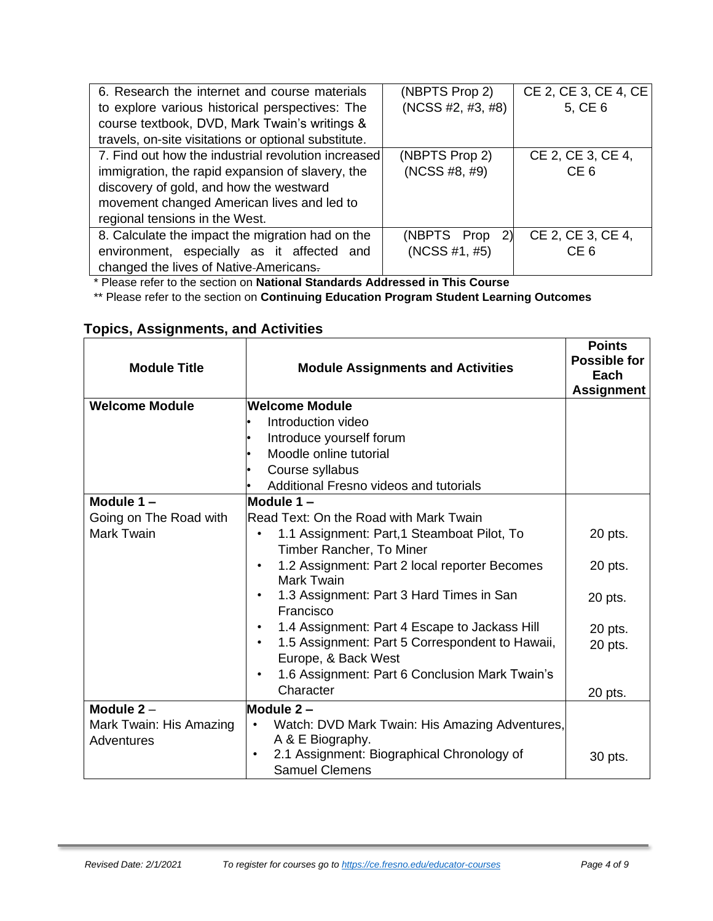| 6. Research the internet and course materials        | (NBPTS Prop 2)    | CE 2, CE 3, CE 4, CE |
|------------------------------------------------------|-------------------|----------------------|
| to explore various historical perspectives: The      | (NCSS #2, #3, #8) | 5, CE 6              |
| course textbook, DVD, Mark Twain's writings &        |                   |                      |
| travels, on-site visitations or optional substitute. |                   |                      |
| 7. Find out how the industrial revolution increased  | (NBPTS Prop 2)    | CE 2, CE 3, CE 4,    |
| immigration, the rapid expansion of slavery, the     | (NCSS #8, #9)     | CE <sub>6</sub>      |
| discovery of gold, and how the westward              |                   |                      |
| movement changed American lives and led to           |                   |                      |
| regional tensions in the West.                       |                   |                      |
| 8. Calculate the impact the migration had on the     | (NBPTS Prop<br>2) | CE 2, CE 3, CE 4,    |
| environment, especially as it affected<br>and        | (NCSS #1, #5)     | CE <sub>6</sub>      |
| changed the lives of Native-Americans.               |                   |                      |

\* Please refer to the section on **National Standards Addressed in This Course** 

\*\* Please refer to the section on **Continuing Education Program Student Learning Outcomes** 

| <b>Module Title</b>     | <b>Module Assignments and Activities</b>                                            | <b>Points</b><br>Possible for<br>Each<br><b>Assignment</b> |
|-------------------------|-------------------------------------------------------------------------------------|------------------------------------------------------------|
| <b>Welcome Module</b>   | <b>Welcome Module</b>                                                               |                                                            |
|                         | Introduction video                                                                  |                                                            |
|                         | Introduce yourself forum                                                            |                                                            |
|                         | Moodle online tutorial                                                              |                                                            |
|                         | Course syllabus                                                                     |                                                            |
|                         | Additional Fresno videos and tutorials                                              |                                                            |
| Module $1 -$            | Module 1-                                                                           |                                                            |
| Going on The Road with  | Read Text: On the Road with Mark Twain                                              |                                                            |
| <b>Mark Twain</b>       | 1.1 Assignment: Part, 1 Steamboat Pilot, To                                         | 20 pts.                                                    |
|                         | Timber Rancher, To Miner                                                            |                                                            |
|                         | 1.2 Assignment: Part 2 local reporter Becomes<br>$\bullet$<br><b>Mark Twain</b>     | 20 pts.                                                    |
|                         | 1.3 Assignment: Part 3 Hard Times in San<br>$\bullet$<br>Francisco                  | 20 pts.                                                    |
|                         | 1.4 Assignment: Part 4 Escape to Jackass Hill                                       | 20 pts.                                                    |
|                         | 1.5 Assignment: Part 5 Correspondent to Hawaii,<br>$\bullet$<br>Europe, & Back West | 20 pts.                                                    |
|                         | 1.6 Assignment: Part 6 Conclusion Mark Twain's<br>٠                                 |                                                            |
|                         | Character                                                                           | 20 pts.                                                    |
| Module $2 -$            | Module 2-                                                                           |                                                            |
| Mark Twain: His Amazing | Watch: DVD Mark Twain: His Amazing Adventures,<br>$\bullet$                         |                                                            |
| Adventures              | A & E Biography.                                                                    |                                                            |
|                         | 2.1 Assignment: Biographical Chronology of<br>$\bullet$                             | 30 pts.                                                    |
|                         | <b>Samuel Clemens</b>                                                               |                                                            |

## **Topics, Assignments, and Activities**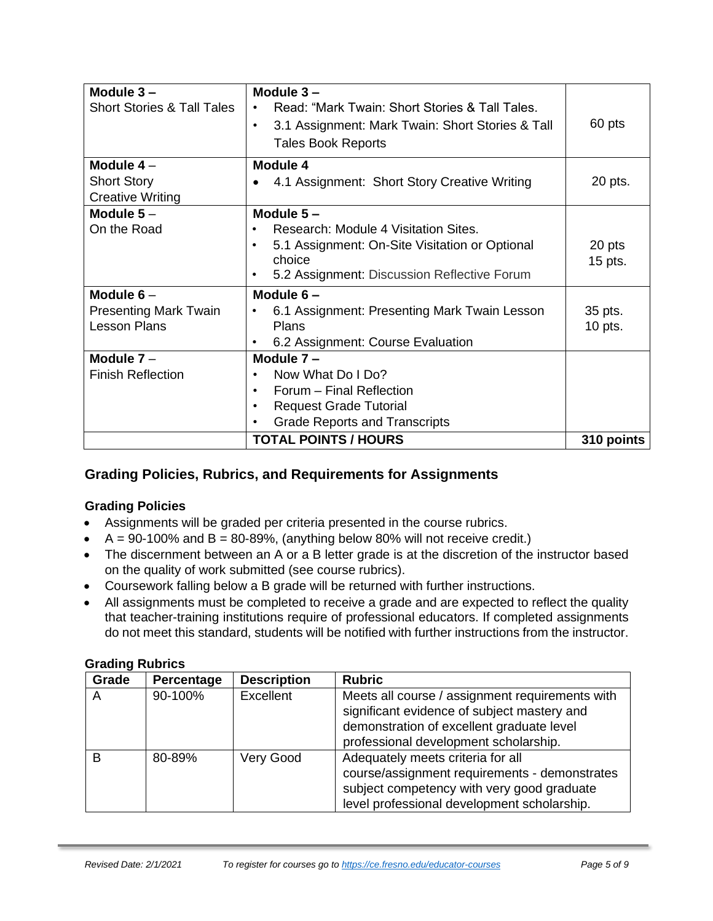| Module $3 -$                          | Module $3 -$                                                  |            |  |
|---------------------------------------|---------------------------------------------------------------|------------|--|
| <b>Short Stories &amp; Tall Tales</b> | Read: "Mark Twain: Short Stories & Tall Tales.                |            |  |
|                                       | 3.1 Assignment: Mark Twain: Short Stories & Tall<br>$\bullet$ | 60 pts     |  |
|                                       | <b>Tales Book Reports</b>                                     |            |  |
| Module $4-$                           | Module 4                                                      |            |  |
| <b>Short Story</b>                    | 4.1 Assignment: Short Story Creative Writing                  | 20 pts.    |  |
| <b>Creative Writing</b>               |                                                               |            |  |
| Module $5-$                           | Module $5 -$                                                  |            |  |
| On the Road                           | Research: Module 4 Visitation Sites.<br>$\bullet$             |            |  |
|                                       | 5.1 Assignment: On-Site Visitation or Optional<br>$\bullet$   | 20 pts     |  |
|                                       | choice                                                        | 15 pts.    |  |
|                                       | 5.2 Assignment: Discussion Reflective Forum<br>$\bullet$      |            |  |
| Module $6-$                           | Module $6 -$                                                  |            |  |
| <b>Presenting Mark Twain</b>          | 6.1 Assignment: Presenting Mark Twain Lesson<br>35 pts.<br>٠  |            |  |
| <b>Lesson Plans</b>                   | Plans<br>$10$ pts.                                            |            |  |
|                                       | 6.2 Assignment: Course Evaluation<br>$\bullet$                |            |  |
| Module $7 -$                          | Module 7-                                                     |            |  |
| <b>Finish Reflection</b>              | Now What Do I Do?<br>$\bullet$                                |            |  |
|                                       | Forum - Final Reflection<br>$\bullet$                         |            |  |
|                                       | <b>Request Grade Tutorial</b><br>$\bullet$                    |            |  |
|                                       | <b>Grade Reports and Transcripts</b><br>$\bullet$             |            |  |
|                                       | <b>TOTAL POINTS / HOURS</b>                                   | 310 points |  |

## **Grading Policies, Rubrics, and Requirements for Assignments**

## **Grading Policies**

- Assignments will be graded per criteria presented in the course rubrics.
- $A = 90-100\%$  and  $B = 80-89\%$ , (anything below 80% will not receive credit.)
- The discernment between an A or a B letter grade is at the discretion of the instructor based on the quality of work submitted (see course rubrics).
- Coursework falling below a B grade will be returned with further instructions.
- All assignments must be completed to receive a grade and are expected to reflect the quality that teacher-training institutions require of professional educators. If completed assignments do not meet this standard, students will be notified with further instructions from the instructor.

#### **Grading Rubrics**

| Grade | Percentage | <b>Description</b> | <b>Rubric</b>                                                                                                                                                                        |
|-------|------------|--------------------|--------------------------------------------------------------------------------------------------------------------------------------------------------------------------------------|
| A     | 90-100%    | Excellent          | Meets all course / assignment requirements with<br>significant evidence of subject mastery and<br>demonstration of excellent graduate level<br>professional development scholarship. |
| B     | 80-89%     | <b>Very Good</b>   | Adequately meets criteria for all<br>course/assignment requirements - demonstrates<br>subject competency with very good graduate<br>level professional development scholarship.      |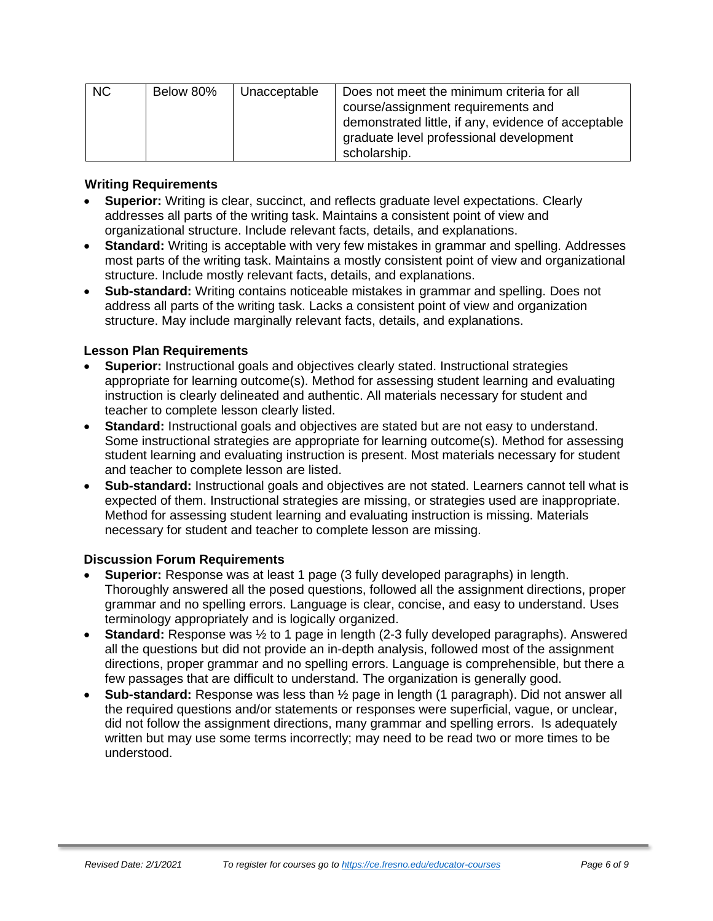| <b>NC</b> | Below 80% | Unacceptable | Does not meet the minimum criteria for all<br>course/assignment requirements and<br>demonstrated little, if any, evidence of acceptable |
|-----------|-----------|--------------|-----------------------------------------------------------------------------------------------------------------------------------------|
|           |           |              | graduate level professional development                                                                                                 |
|           |           |              | scholarship.                                                                                                                            |

#### **Writing Requirements**

- **Superior:** Writing is clear, succinct, and reflects graduate level expectations. Clearly addresses all parts of the writing task. Maintains a consistent point of view and organizational structure. Include relevant facts, details, and explanations.
- **Standard:** Writing is acceptable with very few mistakes in grammar and spelling. Addresses most parts of the writing task. Maintains a mostly consistent point of view and organizational structure. Include mostly relevant facts, details, and explanations.
- **Sub-standard:** Writing contains noticeable mistakes in grammar and spelling. Does not address all parts of the writing task. Lacks a consistent point of view and organization structure. May include marginally relevant facts, details, and explanations.

#### **Lesson Plan Requirements**

- **Superior:** Instructional goals and objectives clearly stated. Instructional strategies appropriate for learning outcome(s). Method for assessing student learning and evaluating instruction is clearly delineated and authentic. All materials necessary for student and teacher to complete lesson clearly listed.
- **Standard:** Instructional goals and objectives are stated but are not easy to understand. Some instructional strategies are appropriate for learning outcome(s). Method for assessing student learning and evaluating instruction is present. Most materials necessary for student and teacher to complete lesson are listed.
- **Sub-standard:** Instructional goals and objectives are not stated. Learners cannot tell what is expected of them. Instructional strategies are missing, or strategies used are inappropriate. Method for assessing student learning and evaluating instruction is missing. Materials necessary for student and teacher to complete lesson are missing.

## **Discussion Forum Requirements**

- **Superior:** Response was at least 1 page (3 fully developed paragraphs) in length. Thoroughly answered all the posed questions, followed all the assignment directions, proper grammar and no spelling errors. Language is clear, concise, and easy to understand. Uses terminology appropriately and is logically organized.
- **Standard:** Response was ½ to 1 page in length (2-3 fully developed paragraphs). Answered all the questions but did not provide an in-depth analysis, followed most of the assignment directions, proper grammar and no spelling errors. Language is comprehensible, but there a few passages that are difficult to understand. The organization is generally good.
- **Sub-standard:** Response was less than ½ page in length (1 paragraph). Did not answer all the required questions and/or statements or responses were superficial, vague, or unclear, did not follow the assignment directions, many grammar and spelling errors. Is adequately written but may use some terms incorrectly; may need to be read two or more times to be understood.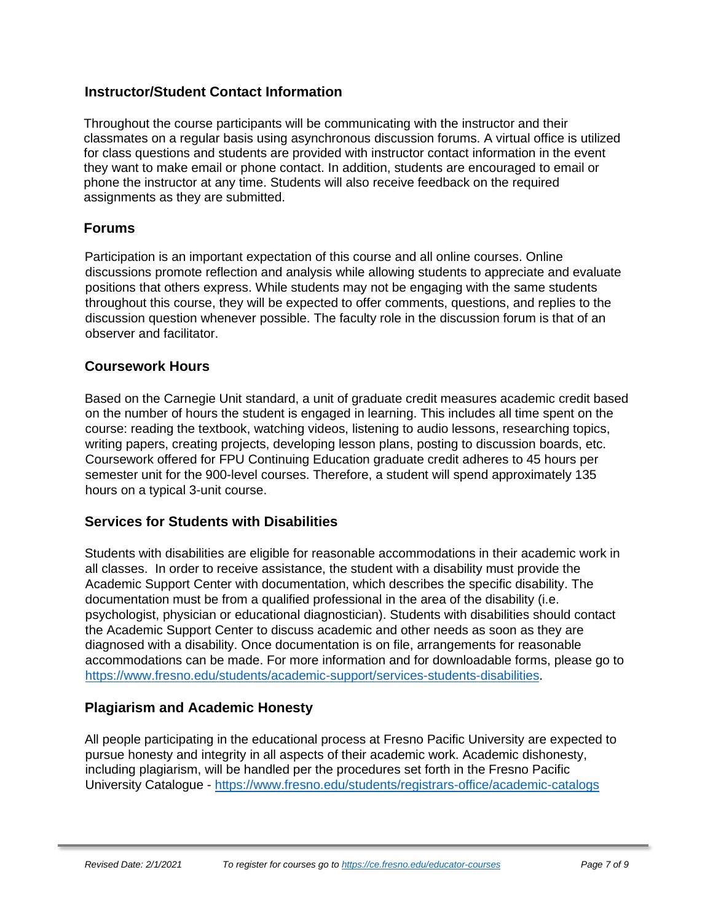## **Instructor/Student Contact Information**

Throughout the course participants will be communicating with the instructor and their classmates on a regular basis using asynchronous discussion forums. A virtual office is utilized for class questions and students are provided with instructor contact information in the event they want to make email or phone contact. In addition, students are encouraged to email or phone the instructor at any time. Students will also receive feedback on the required assignments as they are submitted.

#### **Forums**

Participation is an important expectation of this course and all online courses. Online discussions promote reflection and analysis while allowing students to appreciate and evaluate positions that others express. While students may not be engaging with the same students throughout this course, they will be expected to offer comments, questions, and replies to the discussion question whenever possible. The faculty role in the discussion forum is that of an observer and facilitator.

#### **Coursework Hours**

Based on the Carnegie Unit standard, a unit of graduate credit measures academic credit based on the number of hours the student is engaged in learning. This includes all time spent on the course: reading the textbook, watching videos, listening to audio lessons, researching topics, writing papers, creating projects, developing lesson plans, posting to discussion boards, etc. Coursework offered for FPU Continuing Education graduate credit adheres to 45 hours per semester unit for the 900-level courses. Therefore, a student will spend approximately 135 hours on a typical 3-unit course.

#### **Services for Students with Disabilities**

Students with disabilities are eligible for reasonable accommodations in their academic work in all classes. In order to receive assistance, the student with a disability must provide the Academic Support Center with documentation, which describes the specific disability. The documentation must be from a qualified professional in the area of the disability (i.e. psychologist, physician or educational diagnostician). Students with disabilities should contact the Academic Support Center to discuss academic and other needs as soon as they are diagnosed with a disability. Once documentation is on file, arrangements for reasonable accommodations can be made. For more information and for downloadable forms, please go to [https://www.fresno.edu/students/academic-support/services-students-disabilities.](https://www.fresno.edu/students/academic-support/services-students-disabilities)

## **Plagiarism and Academic Honesty**

All people participating in the educational process at Fresno Pacific University are expected to pursue honesty and integrity in all aspects of their academic work. Academic dishonesty, including plagiarism, will be handled per the procedures set forth in the Fresno Pacific University Catalogue - <https://www.fresno.edu/students/registrars-office/academic-catalogs>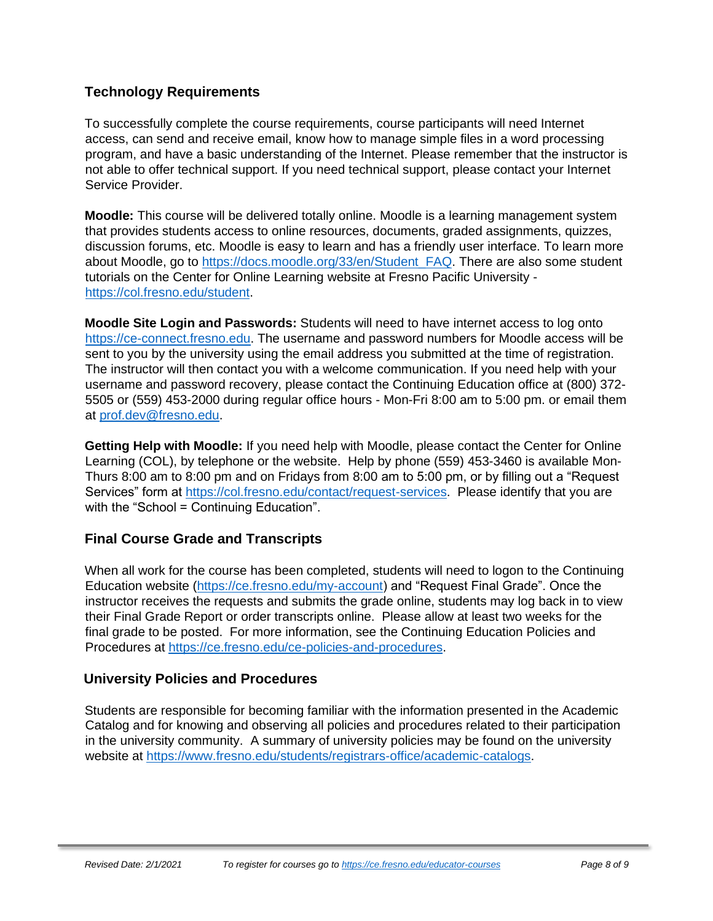## **Technology Requirements**

To successfully complete the course requirements, course participants will need Internet access, can send and receive email, know how to manage simple files in a word processing program, and have a basic understanding of the Internet. Please remember that the instructor is not able to offer technical support. If you need technical support, please contact your Internet Service Provider.

**Moodle:** This course will be delivered totally online. Moodle is a learning management system that provides students access to online resources, documents, graded assignments, quizzes, discussion forums, etc. Moodle is easy to learn and has a friendly user interface. To learn more about Moodle, go to [https://docs.moodle.org/33/en/Student\\_FAQ.](https://docs.moodle.org/33/en/Student_FAQ) There are also some student tutorials on the Center for Online Learning website at Fresno Pacific University [https://col.fresno.edu/student.](https://col.fresno.edu/student)

**Moodle Site Login and Passwords:** Students will need to have internet access to log onto [https://ce-connect.fresno.edu.](https://ce-connect.fresno.edu/) The username and password numbers for Moodle access will be sent to you by the university using the email address you submitted at the time of registration. The instructor will then contact you with a welcome communication. If you need help with your username and password recovery, please contact the Continuing Education office at (800) 372- 5505 or (559) 453-2000 during regular office hours - Mon-Fri 8:00 am to 5:00 pm. or email them at [prof.dev@fresno.edu.](mailto:prof.dev@fresno.edu)

**Getting Help with Moodle:** If you need help with Moodle, please contact the Center for Online Learning (COL), by telephone or the website. Help by phone (559) 453-3460 is available Mon-Thurs 8:00 am to 8:00 pm and on Fridays from 8:00 am to 5:00 pm, or by filling out a "Request Services" form at [https://col.fresno.edu/contact/request-services.](https://col.fresno.edu/contact/request-services) Please identify that you are with the "School = Continuing Education".

## **Final Course Grade and Transcripts**

When all work for the course has been completed, students will need to logon to the Continuing Education website [\(https://ce.fresno.edu/my-account\)](https://ce.fresno.edu/my-account) and "Request Final Grade". Once the instructor receives the requests and submits the grade online, students may log back in to view their Final Grade Report or order transcripts online. Please allow at least two weeks for the final grade to be posted. For more information, see the Continuing Education Policies and Procedures at [https://ce.fresno.edu/ce-policies-and-procedures.](https://ce.fresno.edu/ce-policies-and-procedures)

## **University Policies and Procedures**

Students are responsible for becoming familiar with the information presented in the Academic Catalog and for knowing and observing all policies and procedures related to their participation in the university community. A summary of university policies may be found on the university website at [https://www.fresno.edu/students/registrars-office/academic-catalogs.](https://www.fresno.edu/students/registrars-office/academic-catalogs)